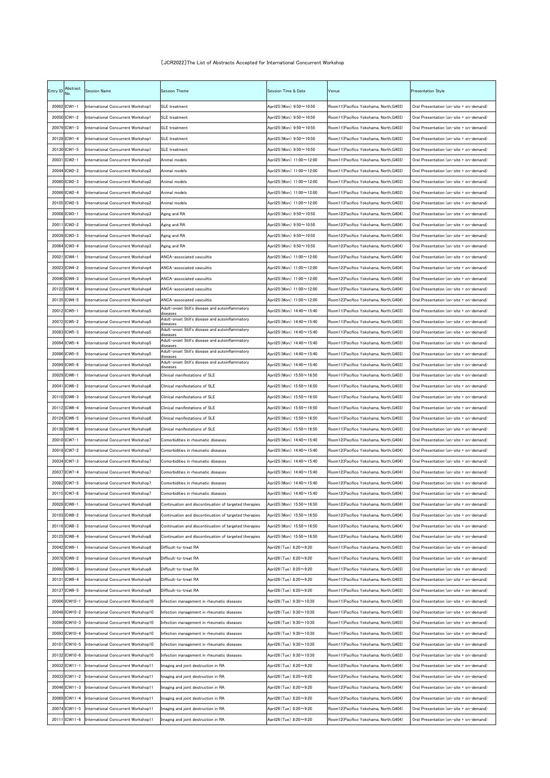## 〔JCR2022〕The List of Abstracts Accepted for International Concurrent Workshop

| Entry ID | Abstract      | <b>Session Name</b>                 | <b>Session Theme</b>                                         | <b>Session Time &amp; Date</b>   | Venue                                  | <b>Presentation Style</b>               |
|----------|---------------|-------------------------------------|--------------------------------------------------------------|----------------------------------|----------------------------------------|-----------------------------------------|
|          | 20002 ICW1-1  | International Concurrent Workshop1  | <b>SLE</b> treatment                                         | April25 (Mon) $9:50 \sim 10:50$  | Room11(Pacifico Yokohama, North,G403)  | Oral Presentation (on-site + on-demand) |
|          | 20050 ICW1-2  | International Concurrent Workshop1  | <b>SLE</b> treatment                                         | April25 (Mon) 9:50~10:50         | Room11(Pacifico Yokohama, North, G403) | Oral Presentation (on-site + on-demand) |
|          | 20079 ICW1-3  | International Concurrent Workshop1  | <b>SLE</b> treatment                                         | April25 (Mon) $9:50 \sim 10:50$  | Room11(Pacifico Yokohama, North, G403) | Oral Presentation (on-site + on-demand) |
|          | 20128 ICW1-4  | International Concurrent Workshop1  | <b>SLE</b> treatment                                         | April25 (Mon) $9:50 \sim 10:50$  | Room11(Pacifico Yokohama, North,G403)  | Oral Presentation (on-site + on-demand) |
|          | 20130 ICW1-5  | International Concurrent Workshop1  | <b>SLE</b> treatment                                         | April25 (Mon) $9:50 \sim 10:50$  | Room11(Pacifico Yokohama, North, G403) | Oral Presentation (on-site + on-demand) |
|          | 20031 ICW2-1  | International Concurrent Workshop2  | Animal models                                                | April25 (Mon) $11:00 \sim 12:00$ | Room11(Pacifico Yokohama, North, G403) | Oral Presentation (on-site + on-demand) |
|          | 20044 ICW2-2  | International Concurrent Workshop2  | Animal models                                                | April25 (Mon) $11:00 \sim 12:00$ | Room11(Pacifico Yokohama, North,G403)  | Oral Presentation (on-site + on-demand) |
|          | 20080 ICW2-3  | International Concurrent Workshop2  | Animal models                                                | April25 (Mon) 11:00~12:00        | Room11(Pacifico Yokohama, North,G403)  | Oral Presentation (on-site + on-demand) |
|          | 20086 ICW2-4  | International Concurrent Workshop2  | Animal models                                                | April25 (Mon) 11:00~12:00        | Room11(Pacifico Yokohama, North, G403) | Oral Presentation (on-site + on-demand) |
|          | 20105 ICW2-5  | International Concurrent Workshop2  | Animal models                                                | April25 (Mon) $11:00 \sim 12:00$ | Room11(Pacifico Yokohama, North,G403)  | Oral Presentation (on-site + on-demand) |
|          | 20008 ICW3-1  | International Concurrent Workshop3  | Aging and RA                                                 | April25 (Mon) 9:50~10:50         | Room12(Pacifico Yokohama, North.G404)  | Oral Presentation (on-site + on-demand) |
|          | 20011 ICW3-2  | International Concurrent Workshop3  | Aging and RA                                                 | April25 (Mon) $9:50 \sim 10:50$  | Room12(Pacifico Yokohama, North, G404) | Oral Presentation (on-site + on-demand) |
|          | 20039 ICW3-3  | International Concurrent Workshop3  | Aging and RA                                                 | April25 (Mon) $9:50 \sim 10:50$  | Room12(Pacifico Yokohama, North,G404)  | Oral Presentation (on-site + on-demand) |
|          | 20064 ICW3-4  | International Concurrent Workshop3  | Aging and RA                                                 | April25 (Mon) 9:50~10:50         | Room12(Pacifico Yokohama, North, G404) | Oral Presentation (on-site + on-demand) |
|          | 20021 ICW4-1  | International Concurrent Workshop4  | ANCA-associated vasculitis                                   | April25 (Mon) $11:00 \sim 12:00$ | Room12(Pacifico Yokohama, North, G404) | Oral Presentation (on-site + on-demand) |
|          | 20023 ICW4-2  | International Concurrent Workshop4  | ANCA-associated vasculitis                                   | April25 (Mon) $11:00 \sim 12:00$ | Room12(Pacifico Yokohama, North,G404)  | Oral Presentation (on-site + on-demand) |
|          | 20040 ICW4-3  | International Concurrent Workshop4  | ANCA-associated vasculitis                                   | April25 (Mon) 11:00~12:00        | Room12(Pacifico Yokohama, North,G404)  | Oral Presentation (on-site + on-demand) |
|          | 20122 ICW4-4  | International Concurrent Workshop4  | ANCA-associated vasculitis                                   | April25 (Mon) $11:00 \sim 12:00$ | Room12(Pacifico Yokohama, North, G404) | Oral Presentation (on-site + on-demand) |
|          | 20135 ICW4-5  | International Concurrent Workshop4  | ANCA-associated vasculitis                                   | April25 (Mon) 11:00~12:00        | Room12(Pacifico Yokohama, North,G404)  | Oral Presentation (on-site + on-demand) |
|          | 20012 ICW5-1  | International Concurrent Workshop5  | Adult-onset Still's disease and autoinflammatory<br>diseases | April25 (Mon) 14:40~15:40        | Room11(Pacifico Yokohama, North, G403) | Oral Presentation (on-site + on-demand) |
|          | 20072 ICW5-2  | International Concurrent Workshop5  | Adult-onset Still's disease and autoinflammatory<br>diseases | April25 (Mon) $14:40 \sim 15:40$ | Room11(Pacifico Yokohama, North, G403) | Oral Presentation (on-site + on-demand) |
|          | 20083 ICW5-3  | International Concurrent Workshop5  | Adult-onset Still's disease and autoinflammatory<br>diseases | April25 (Mon) 14:40~15:40        | Room11(Pacifico Yokohama, North,G403)  | Oral Presentation (on-site + on-demand) |
|          | 20094 ICW5-4  | International Concurrent Workshop5  | Adult-onset Still's disease and autoinflammatory<br>diseases | April25 (Mon) 14:40~15:40        | Room11(Pacifico Yokohama, North,G403)  | Oral Presentation (on-site + on-demand) |
|          | 20096 ICW5-5  | International Concurrent Workshop5  | Adult-onset Still's disease and autoinflammatory<br>diseases | April25 (Mon) 14:40~15:40        | Room11(Pacifico Yokohama, North,G403)  | Oral Presentation (on-site + on-demand) |
|          | 20099 ICW5-6  | International Concurrent Workshop5  | Adult-onset Still's disease and autoinflammatory<br>diseases | April25 (Mon) 14:40~15:40        | Room11(Pacifico Yokohama, North,G403)  | Oral Presentation (on-site + on-demand) |
|          | 20029 ICW6-1  | International Concurrent Workshop6  | Clinical manifestations of SLE                               | April25 (Mon) 15:50~16:50        | Room11(Pacifico Yokohama, North.G403)  | Oral Presentation (on-site + on-demand) |
|          | 20041 ICW6-2  | International Concurrent Workshop6  | Clinical manifestations of SLE                               | April25 (Mon) 15:50~16:50        | Room11(Pacifico Yokohama, North,G403)  | Oral Presentation (on-site + on-demand) |
|          | 20110 ICW6-3  | International Concurrent Workshop6  | Clinical manifestations of SLE                               | April25 (Mon) 15:50~16:50        | Room11(Pacifico Yokohama, North,G403)  | Oral Presentation (on-site + on-demand) |
|          | 20112 ICW6-4  | International Concurrent Workshop6  | Clinical manifestations of SLE                               | April25 (Mon) $15:50 \sim 16:50$ | Room11(Pacifico Yokohama, North,G403)  | Oral Presentation (on-site + on-demand) |
|          | 20124 ICW6-5  | International Concurrent Workshop6  | Clinical manifestations of SLE                               | April25 (Mon) 15:50~16:50        | Room11(Pacifico Yokohama, North,G403)  | Oral Presentation (on-site + on-demand) |
|          | 20138 ICW6-6  | International Concurrent Workshop6  | Clinical manifestations of SLE                               | April25 (Mon) 15:50~16:50        | Room11(Pacifico Yokohama, North,G403)  | Oral Presentation (on-site + on-demand) |
|          | 20010 ICW7-1  | International Concurrent Workshop7  | Comorbidities in rheumatic diseases                          | April25 (Mon) $14:40 \sim 15:40$ | Room12(Pacifico Yokohama, North,G404)  | Oral Presentation (on-site + on-demand) |
|          | 20018 ICW7-2  | International Concurrent Workshop7  | Comorbidities in rheumatic diseases                          | April25 (Mon) $14:40 \sim 15:40$ | Room12(Pacifico Yokohama, North,G404)  | Oral Presentation (on-site + on-demand) |
|          | 20034 ICW7-3  | International Concurrent Workshop7  | Comorbidities in rheumatic diseases                          | April25 (Mon) 14:40~15:40        | Room12(Pacifico Yokohama, North,G404)  | Oral Presentation (on-site + on-demand) |
|          | 20037 ICW7-4  | International Concurrent Workshop7  | Comorbidities in rheumatic diseases                          | April25 (Mon) $14:40 \sim 15:40$ | Room12(Pacifico Yokohama, North,G404)  | Oral Presentation (on-site + on-demand) |
|          | 20082 ICW7-5  | International Concurrent Workshop7  | Comorbidities in rheumatic diseases                          | April25 (Mon) 14:40~15:40        | Room12(Pacifico Yokohama, North,G404)  | Oral Presentation (on-site + on-demand) |
|          | 20115 ICW7-6  | International Concurrent Workshop7  | Comorbidities in rheumatic diseases                          | April25 (Mon) 14:40~15:40        | Room12(Pacifico Yokohama, North,G404)  | Oral Presentation (on-site + on-demand) |
|          | 20028 ICW8-1  | International Concurrent Workshop8  | Continuation and discontinuation of targeted therapies       | April25 (Mon) $15:50 \sim 16:50$ | Room12(Pacifico Yokohama, North,G404)  | Oral Presentation (on-site + on-demand) |
|          | 20103 ICW8-2  | International Concurrent Workshop8  | Continuation and discontinuation of targeted therapies       | April25 (Mon) $15:50 \sim 16:50$ | Room12(Pacifico Yokohama, North,G404)  | Oral Presentation (on-site + on-demand) |
|          | 20116 ICW8-3  | International Concurrent Workshop8  | Continuation and discontinuation of targeted therapies       | April25 (Mon) $15:50 \sim 16:50$ | Room12(Pacifico Yokohama, North,G404)  | Oral Presentation (on-site + on-demand) |
|          | 20125 ICW8-4  | International Concurrent Workshop8  | Continuation and discontinuation of targeted therapies       | April25 (Mon) $15:50 \sim 16:50$ | Room12(Pacifico Yokohama, North, G404) | Oral Presentation (on-site + on-demand) |
|          | 20042 ICW9-1  | International Concurrent Workshop9  | Difficult-to-treat RA                                        | April26 (Tue) 8:20 $\sim$ 9:20   | Room11(Pacifico Yokohama, North,G403)  | Oral Presentation (on-site + on-demand) |
|          | 20078 ICW9-2  | International Concurrent Workshop9  | Difficult-to-treat RA                                        | April26 (Tue) 8:20~9:20          | Room11(Pacifico Yokohama, North, G403) | Oral Presentation (on-site + on-demand) |
|          | 20092 ICW9-3  | International Concurrent Workshop9  | Difficult-to-treat RA                                        | April26 (Tue) 8:20~9:20          | Room11(Pacifico Yokohama, North, G403) | Oral Presentation (on-site + on-demand) |
|          | 20131 ICW9-4  | International Concurrent Workshop9  | Difficult-to-treat RA                                        | April26 (Tue) 8:20~9:20          | Room11(Pacifico Yokohama, North,G403)  | Oral Presentation (on-site + on-demand) |
|          | 20137 ICW9-5  | International Concurrent Workshop9  | Difficult-to-treat RA                                        | April26 (Tue) 8:20~9:20          | Room11(Pacifico Yokohama, North, G403) | Oral Presentation (on-site + on-demand) |
|          | 20006 ICW10-1 | International Concurrent Workshop10 | Infection management in rheumatic diseases                   | April26 (Tue) 9:30~10:30         | Room11(Pacifico Yokohama, North, G403) | Oral Presentation (on-site + on-demand) |
|          | 20048 ICW10-2 | International Concurrent Workshop10 | Infection management in rheumatic diseases                   | April26 (Tue) 9:30~10:30         | Room11(Pacifico Yokohama, North,G403)  | Oral Presentation (on-site + on-demand) |
|          | 20090 ICW10-3 | International Concurrent Workshop10 | Infection management in rheumatic diseases                   | April26 (Tue) $9:30 \sim 10:30$  | Room11(Pacifico Yokohama, North, G403) | Oral Presentation (on-site + on-demand) |
|          | 20093 ICW10-4 | International Concurrent Workshop10 | Infection management in rheumatic diseases                   | April26 (Tue) 9:30~10:30         | Room11(Pacifico Yokohama, North, G403) | Oral Presentation (on-site + on-demand) |
|          | 20101 ICW10-5 | International Concurrent Workshop10 | Infection management in rheumatic diseases                   | April26 (Tue) 9:30~10:30         | Room11(Pacifico Yokohama, North,G403)  | Oral Presentation (on-site + on-demand) |
|          | 20132 ICW10-6 | International Concurrent Workshop10 | Infection management in rheumatic diseases                   | April26 (Tue) 9:30~10:30         | Room11(Pacifico Yokohama, North, G403) | Oral Presentation (on-site + on-demand) |
|          | 20032 ICW11-1 | International Concurrent Workshop11 | Imaging and joint destruction in RA                          | April26 (Tue) 8:20~9:20          | Room12(Pacifico Yokohama, North, G404) | Oral Presentation (on-site + on-demand) |
|          | 20033 ICW11-2 | International Concurrent Workshop11 | Imaging and joint destruction in RA                          | April26 (Tue) 8:20~9:20          | Room12(Pacifico Yokohama, North, G404) | Oral Presentation (on-site + on-demand) |
|          | 20046 ICW11-3 | International Concurrent Workshop11 | Imaging and joint destruction in RA                          | April26 (Tue) $8:20 \sim 9:20$   | Room12(Pacifico Yokohama, North, G404) | Oral Presentation (on-site + on-demand) |
|          | 20069 ICW11-4 | International Concurrent Workshop11 | Imaging and joint destruction in RA                          | April26 (Tue) 8:20~9:20          | Room12(Pacifico Yokohama, North, G404) | Oral Presentation (on-site + on-demand) |
|          | 20074 ICW11-5 | International Concurrent Workshop11 | Imaging and joint destruction in RA                          | April26 (Tue) 8:20~9:20          | Room12(Pacifico Yokohama, North, G404) | Oral Presentation (on-site + on-demand) |
|          | 20111 ICW11-6 | International Concurrent Workshop11 | Imaging and joint destruction in RA                          | April26 (Tue) 8:20~9:20          | Room12(Pacifico Yokohama, North, G404) | Oral Presentation (on-site + on-demand) |